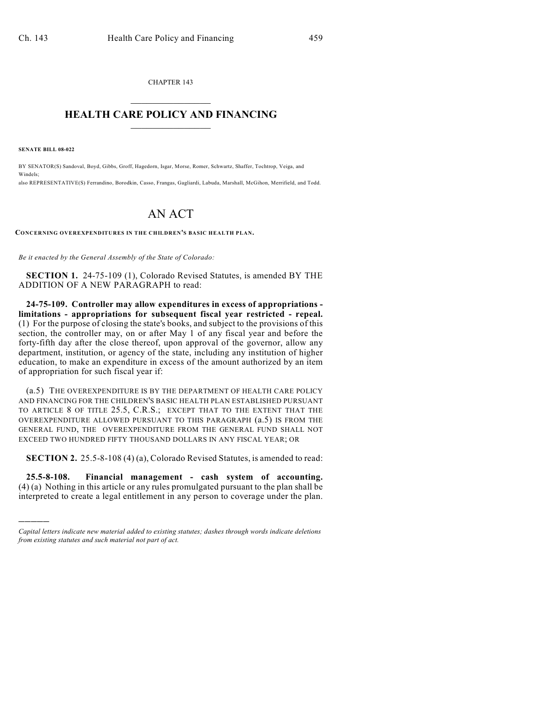CHAPTER 143  $\mathcal{L}_\text{max}$  . The set of the set of the set of the set of the set of the set of the set of the set of the set of the set of the set of the set of the set of the set of the set of the set of the set of the set of the set

## **HEALTH CARE POLICY AND FINANCING**  $\_$   $\_$   $\_$   $\_$   $\_$   $\_$   $\_$   $\_$

**SENATE BILL 08-022**

)))))

BY SENATOR(S) Sandoval, Boyd, Gibbs, Groff, Hagedorn, Isgar, Morse, Romer, Schwartz, Shaffer, Tochtrop, Veiga, and Windels; also REPRESENTATIVE(S) Ferrandino, Borodkin, Casso, Frangas, Gagliardi, Labuda, Marshall, McGihon, Merrifield, and Todd.

## AN ACT

**CONCERNING OVEREXPENDITURES IN THE CHILDREN'S BASIC HEALTH PLAN.**

*Be it enacted by the General Assembly of the State of Colorado:*

**SECTION 1.** 24-75-109 (1), Colorado Revised Statutes, is amended BY THE ADDITION OF A NEW PARAGRAPH to read:

**24-75-109. Controller may allow expenditures in excess of appropriations limitations - appropriations for subsequent fiscal year restricted - repeal.** (1) For the purpose of closing the state's books, and subject to the provisions of this section, the controller may, on or after May 1 of any fiscal year and before the forty-fifth day after the close thereof, upon approval of the governor, allow any department, institution, or agency of the state, including any institution of higher education, to make an expenditure in excess of the amount authorized by an item of appropriation for such fiscal year if:

(a.5) THE OVEREXPENDITURE IS BY THE DEPARTMENT OF HEALTH CARE POLICY AND FINANCING FOR THE CHILDREN'S BASIC HEALTH PLAN ESTABLISHED PURSUANT TO ARTICLE 8 OF TITLE 25.5, C.R.S.; EXCEPT THAT TO THE EXTENT THAT THE OVEREXPENDITURE ALLOWED PURSUANT TO THIS PARAGRAPH (a.5) IS FROM THE GENERAL FUND, THE OVEREXPENDITURE FROM THE GENERAL FUND SHALL NOT EXCEED TWO HUNDRED FIFTY THOUSAND DOLLARS IN ANY FISCAL YEAR; OR

**SECTION 2.** 25.5-8-108 (4) (a), Colorado Revised Statutes, is amended to read:

**25.5-8-108. Financial management - cash system of accounting.** (4) (a) Nothing in this article or any rules promulgated pursuant to the plan shall be interpreted to create a legal entitlement in any person to coverage under the plan.

*Capital letters indicate new material added to existing statutes; dashes through words indicate deletions from existing statutes and such material not part of act.*